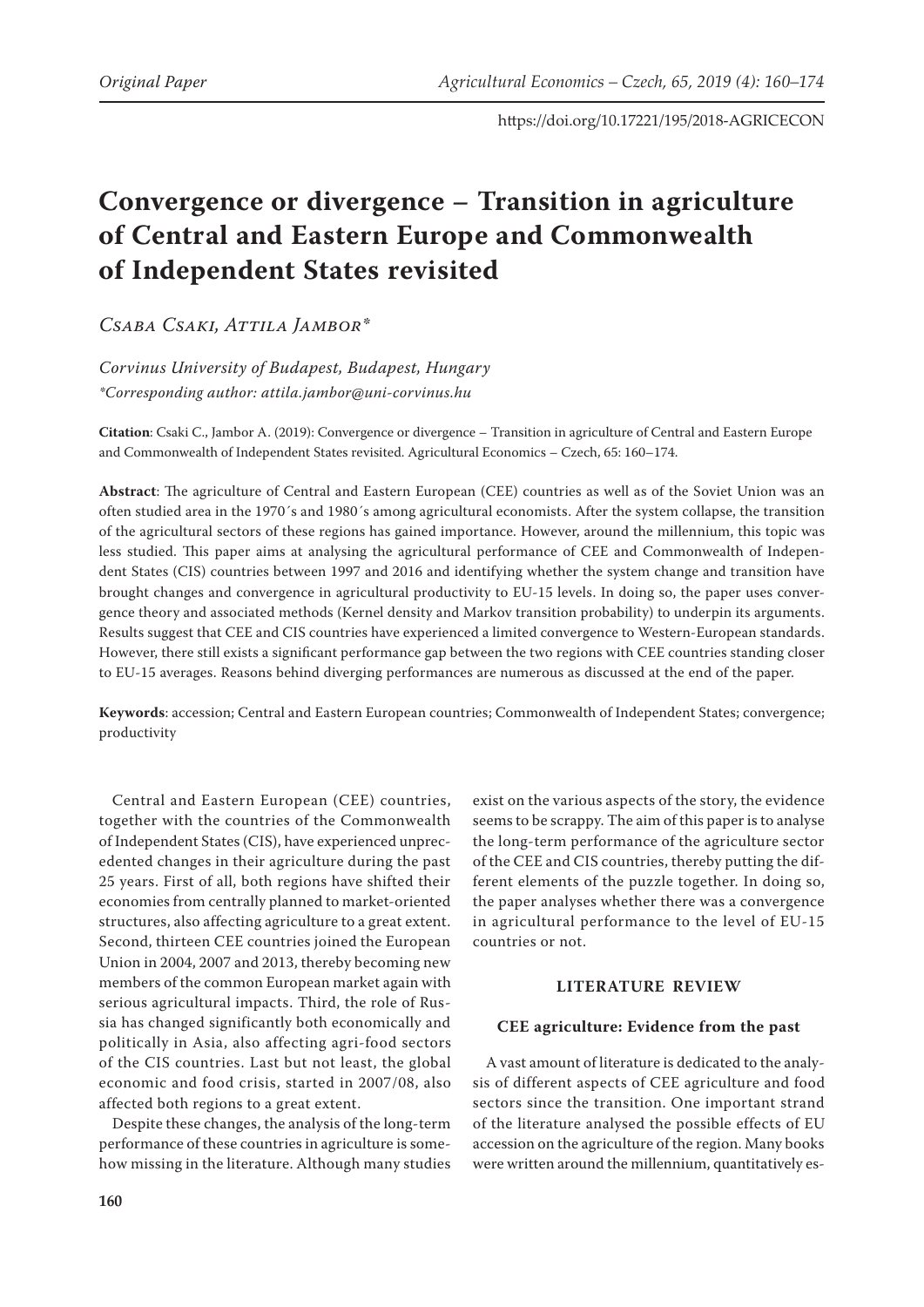# **Convergence or divergence – Transition in agriculture of Central and Eastern Europe and Commonwealth of Independent States revisited**

*Csaba Csaki, Attila Jambor\**

*Corvinus University of Budapest, Budapest, Hungary \*Corresponding author: attila.jambor@uni-corvinus.hu*

**Citation**: Csaki C., Jambor A. (2019): Convergence or divergence – Transition in agriculture of Central and Eastern Europe and Commonwealth of Independent States revisited. Agricultural Economics – Czech, 65: 160–174.

**Abstract**: The agriculture of Central and Eastern European (CEE) countries as well as of the Soviet Union was an often studied area in the 1970´s and 1980´s among agricultural economists. After the system collapse, the transition of the agricultural sectors of these regions has gained importance. However, around the millennium, this topic was less studied. This paper aims at analysing the agricultural performance of CEE and Commonwealth of Independent States (CIS) countries between 1997 and 2016 and identifying whether the system change and transition have brought changes and convergence in agricultural productivity to EU-15 levels. In doing so, the paper uses convergence theory and associated methods (Kernel density and Markov transition probability) to underpin its arguments. Results suggest that CEE and CIS countries have experienced a limited convergence to Western-European standards. However, there still exists a significant performance gap between the two regions with CEE countries standing closer to EU-15 averages. Reasons behind diverging performances are numerous as discussed at the end of the paper.

**Keywords**: accession; Central and Eastern European countries; Commonwealth of Independent States; convergence; productivity

Central and Eastern European (CEE) countries, together with the countries of the Commonwealth of Independent States (CIS), have experienced unprecedented changes in their agriculture during the past 25 years. First of all, both regions have shifted their economies from centrally planned to market-oriented structures, also affecting agriculture to a great extent. Second, thirteen CEE countries joined the European Union in 2004, 2007 and 2013, thereby becoming new members of the common European market again with serious agricultural impacts. Third, the role of Russia has changed significantly both economically and politically in Asia, also affecting agri-food sectors of the CIS countries. Last but not least, the global economic and food crisis, started in 2007/08, also affected both regions to a great extent.

Despite these changes, the analysis of the long-term performance of these countries in agriculture is somehow missing in the literature. Although many studies exist on the various aspects of the story, the evidence seems to be scrappy. The aim of this paper is to analyse the long-term performance of the agriculture sector of the CEE and CIS countries, thereby putting the different elements of the puzzle together. In doing so, the paper analyses whether there was a convergence in agricultural performance to the level of EU-15 countries or not.

## **LITERATURE REVIEW**

# **CEE agriculture: Evidence from the past**

A vast amount of literature is dedicated to the analysis of different aspects of CEE agriculture and food sectors since the transition. One important strand of the literature analysed the possible effects of EU accession on the agriculture of the region. Many books were written around the millennium, quantitatively es-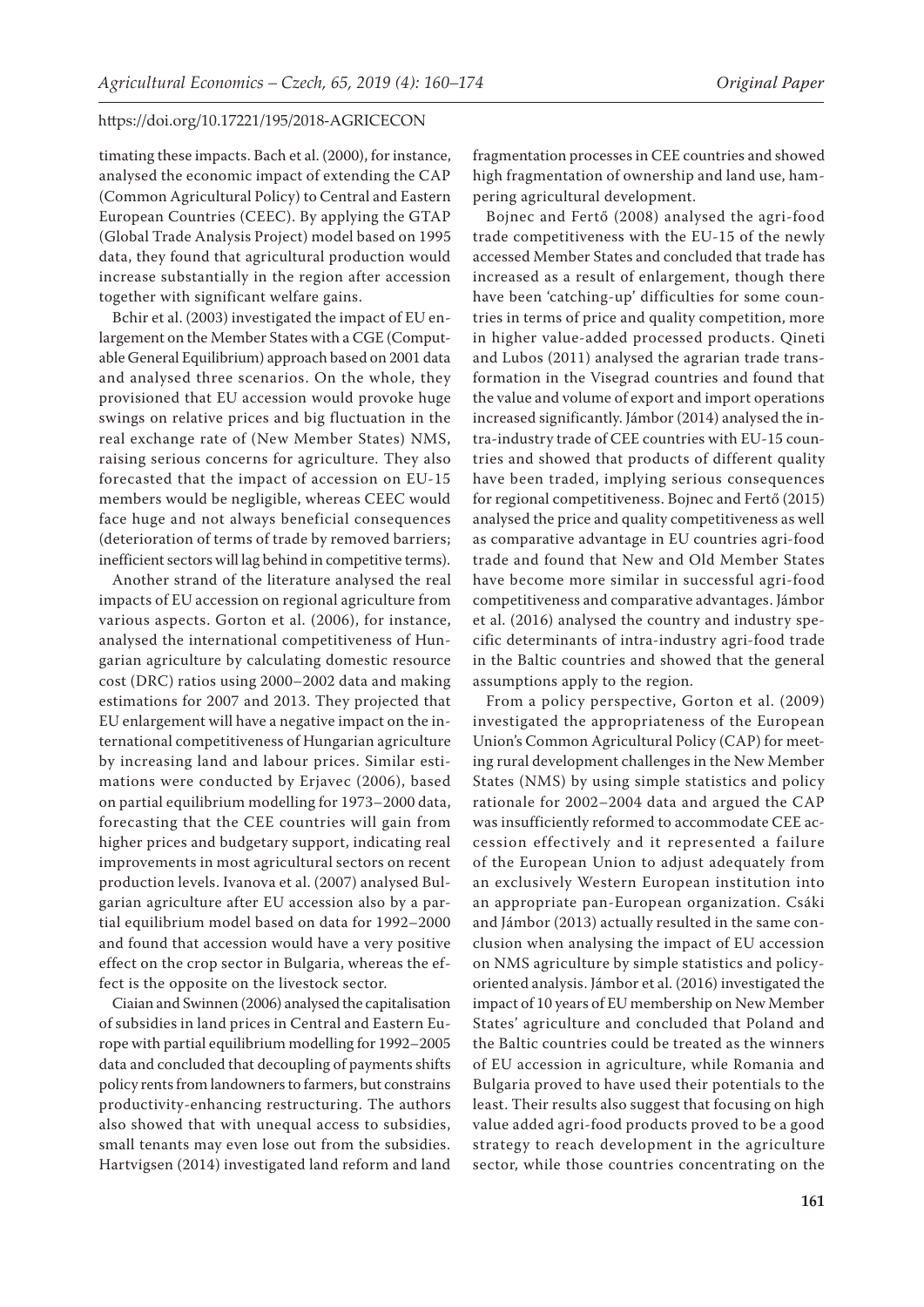timating these impacts. Bach et al. (2000), for instance, analysed the economic impact of extending the CAP (Common Agricultural Policy) to Central and Eastern European Countries (CEEC). By applying the GTAP (Global Trade Analysis Project) model based on 1995 data, they found that agricultural production would increase substantially in the region after accession together with significant welfare gains.

Bchir et al. (2003) investigated the impact of EU enlargement on the Member States with a CGE (Computable General Equilibrium) approach based on 2001 data and analysed three scenarios. On the whole, they provisioned that EU accession would provoke huge swings on relative prices and big fluctuation in the real exchange rate of (New Member States) NMS, raising serious concerns for agriculture. They also forecasted that the impact of accession on EU-15 members would be negligible, whereas CEEC would face huge and not always beneficial consequences (deterioration of terms of trade by removed barriers; inefficient sectors will lag behind in competitive terms).

Another strand of the literature analysed the real impacts of EU accession on regional agriculture from various aspects. Gorton et al. (2006), for instance, analysed the international competitiveness of Hungarian agriculture by calculating domestic resource cost (DRC) ratios using 2000–2002 data and making estimations for 2007 and 2013. They projected that EU enlargement will have a negative impact on the international competitiveness of Hungarian agriculture by increasing land and labour prices. Similar estimations were conducted by Erjavec (2006), based on partial equilibrium modelling for 1973–2000 data, forecasting that the CEE countries will gain from higher prices and budgetary support, indicating real improvements in most agricultural sectors on recent production levels. Ivanova et al. (2007) analysed Bulgarian agriculture after EU accession also by a partial equilibrium model based on data for 1992–2000 and found that accession would have a very positive effect on the crop sector in Bulgaria, whereas the effect is the opposite on the livestock sector.

Ciaian and Swinnen (2006) analysed the capitalisation of subsidies in land prices in Central and Eastern Europe with partial equilibrium modelling for 1992–2005 data and concluded that decoupling of payments shifts policy rents from landowners to farmers, but constrains productivity-enhancing restructuring. The authors also showed that with unequal access to subsidies, small tenants may even lose out from the subsidies. Hartvigsen (2014) investigated land reform and land

fragmentation processes in CEE countries and showed high fragmentation of ownership and land use, hampering agricultural development.

Bojnec and Fertő (2008) analysed the agri-food trade competitiveness with the EU-15 of the newly accessed Member States and concluded that trade has increased as a result of enlargement, though there have been 'catching-up' difficulties for some countries in terms of price and quality competition, more in higher value-added processed products. Qineti and Lubos (2011) analysed the agrarian trade transformation in the Visegrad countries and found that the value and volume of export and import operations increased significantly. Jámbor (2014) analysed the intra-industry trade of CEE countries with EU-15 countries and showed that products of different quality have been traded, implying serious consequences for regional competitiveness. Bojnec and Fertő (2015) analysed the price and quality competitiveness as well as comparative advantage in EU countries agri-food trade and found that New and Old Member States have become more similar in successful agri-food competitiveness and comparative advantages. Jámbor et al. (2016) analysed the country and industry specific determinants of intra-industry agri-food trade in the Baltic countries and showed that the general assumptions apply to the region.

From a policy perspective, Gorton et al. (2009) investigated the appropriateness of the European Union's Common Agricultural Policy (CAP) for meeting rural development challenges in the New Member States (NMS) by using simple statistics and policy rationale for 2002–2004 data and argued the CAP was insufficiently reformed to accommodate CEE accession effectively and it represented a failure of the European Union to adjust adequately from an exclusively Western European institution into an appropriate pan-European organization. Csáki and Jámbor (2013) actually resulted in the same conclusion when analysing the impact of EU accession on NMS agriculture by simple statistics and policyoriented analysis. Jámbor et al. (2016) investigated the impact of 10 years of EU membership on New Member States' agriculture and concluded that Poland and the Baltic countries could be treated as the winners of EU accession in agriculture, while Romania and Bulgaria proved to have used their potentials to the least. Their results also suggest that focusing on high value added agri-food products proved to be a good strategy to reach development in the agriculture sector, while those countries concentrating on the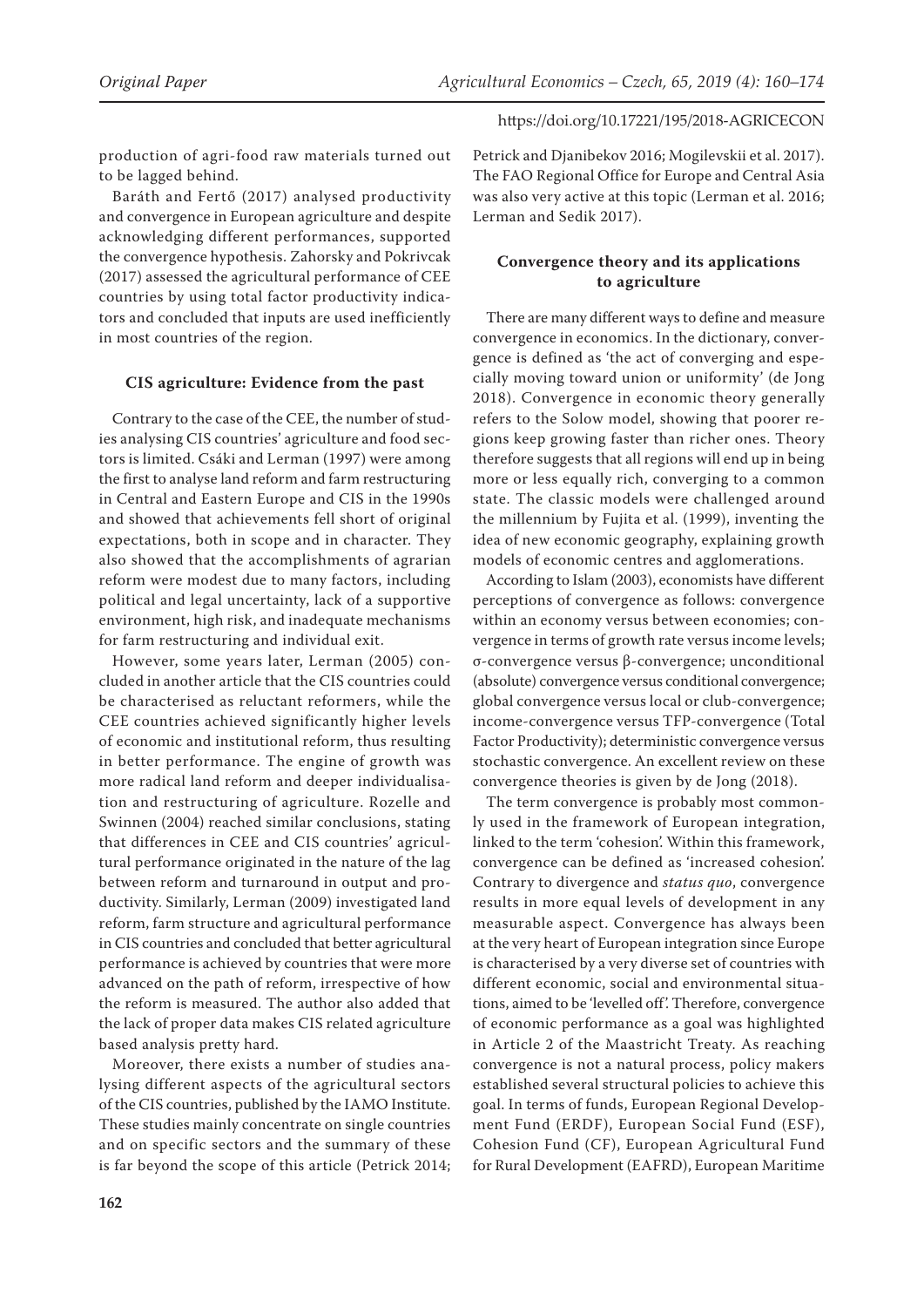production of agri-food raw materials turned out to be lagged behind.

Baráth and Fertő (2017) analysed productivity and convergence in European agriculture and despite acknowledging different performances, supported the convergence hypothesis. Zahorsky and Pokrivcak (2017) assessed the agricultural performance of CEE countries by using total factor productivity indicators and concluded that inputs are used inefficiently in most countries of the region.

## **CIS agriculture: Evidence from the past**

Contrary to the case of the CEE, the number of studies analysing CIS countries' agriculture and food sectors is limited. Csáki and Lerman (1997) were among the first to analyse land reform and farm restructuring in Central and Eastern Europe and CIS in the 1990s and showed that achievements fell short of original expectations, both in scope and in character. They also showed that the accomplishments of agrarian reform were modest due to many factors, including political and legal uncertainty, lack of a supportive environment, high risk, and inadequate mechanisms for farm restructuring and individual exit.

However, some years later, Lerman (2005) concluded in another article that the CIS countries could be characterised as reluctant reformers, while the CEE countries achieved significantly higher levels of economic and institutional reform, thus resulting in better performance. The engine of growth was more radical land reform and deeper individualisation and restructuring of agriculture. Rozelle and Swinnen (2004) reached similar conclusions, stating that differences in CEE and CIS countries' agricultural performance originated in the nature of the lag between reform and turnaround in output and productivity. Similarly, Lerman (2009) investigated land reform, farm structure and agricultural performance in CIS countries and concluded that better agricultural performance is achieved by countries that were more advanced on the path of reform, irrespective of how the reform is measured. The author also added that the lack of proper data makes CIS related agriculture based analysis pretty hard.

Moreover, there exists a number of studies analysing different aspects of the agricultural sectors of the CIS countries, published by the IAMO Institute. These studies mainly concentrate on single countries and on specific sectors and the summary of these is far beyond the scope of this article (Petrick 2014;

Petrick and Djanibekov 2016; Mogilevskii et al. 2017). The FAO Regional Office for Europe and Central Asia was also very active at this topic (Lerman et al. 2016; Lerman and Sedik 2017).

# **Convergence theory and its applications to agriculture**

There are many different ways to define and measure convergence in economics. In the dictionary, convergence is defined as 'the act of converging and especially moving toward union or uniformity' (de Jong 2018). Convergence in economic theory generally refers to the Solow model, showing that poorer regions keep growing faster than richer ones. Theory therefore suggests that all regions will end up in being more or less equally rich, converging to a common state. The classic models were challenged around the millennium by Fujita et al. (1999), inventing the idea of new economic geography, explaining growth models of economic centres and agglomerations.

According to Islam (2003), economists have different perceptions of convergence as follows: convergence within an economy versus between economies; convergence in terms of growth rate versus income levels; σ-convergence versus β-convergence; unconditional (absolute) convergence versus conditional convergence; global convergence versus local or club-convergence; income-convergence versus TFP-convergence (Total Factor Productivity); deterministic convergence versus stochastic convergence. An excellent review on these convergence theories is given by de Jong (2018).

The term convergence is probably most commonly used in the framework of European integration, linked to the term 'cohesion'. Within this framework, convergence can be defined as 'increased cohesion'. Contrary to divergence and *status quo*, convergence results in more equal levels of development in any measurable aspect. Convergence has always been at the very heart of European integration since Europe is characterised by a very diverse set of countries with different economic, social and environmental situations, aimed to be 'levelled off'. Therefore, convergence of economic performance as a goal was highlighted in Article 2 of the Maastricht Treaty. As reaching convergence is not a natural process, policy makers established several structural policies to achieve this goal. In terms of funds, European Regional Development Fund (ERDF), European Social Fund (ESF), Cohesion Fund (CF), European Agricultural Fund for Rural Development (EAFRD), European Maritime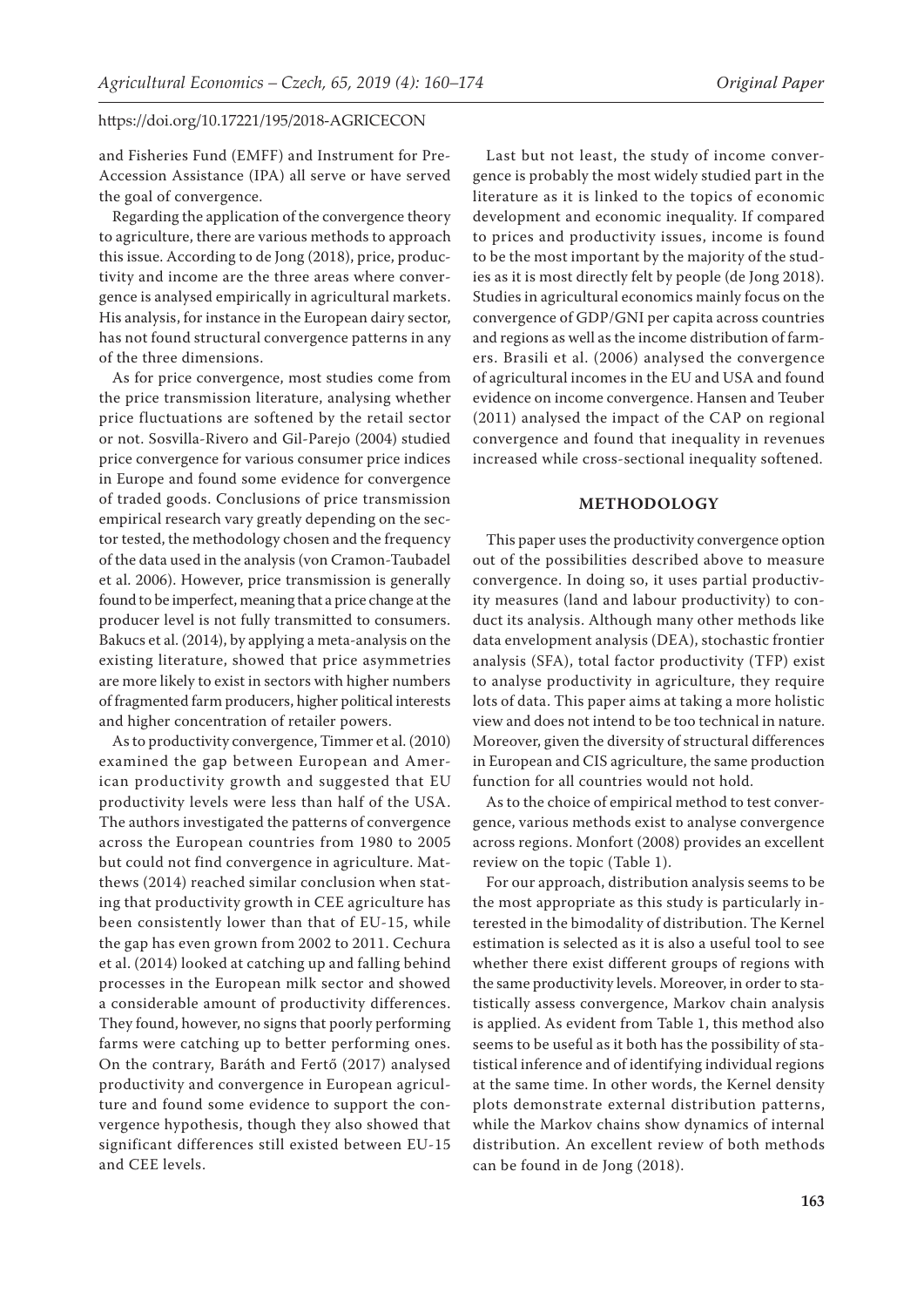and Fisheries Fund (EMFF) and Instrument for Pre-Accession Assistance (IPA) all serve or have served the goal of convergence.

Regarding the application of the convergence theory to agriculture, there are various methods to approach this issue. According to de Jong (2018), price, productivity and income are the three areas where convergence is analysed empirically in agricultural markets. His analysis, for instance in the European dairy sector, has not found structural convergence patterns in any of the three dimensions.

As for price convergence, most studies come from the price transmission literature, analysing whether price fluctuations are softened by the retail sector or not. Sosvilla-Rivero and Gil-Parejo (2004) studied price convergence for various consumer price indices in Europe and found some evidence for convergence of traded goods. Conclusions of price transmission empirical research vary greatly depending on the sector tested, the methodology chosen and the frequency of the data used in the analysis (von Cramon-Taubadel et al. 2006). However, price transmission is generally found to be imperfect, meaning that a price change at the producer level is not fully transmitted to consumers. Bakucs et al. (2014), by applying a meta-analysis on the existing literature, showed that price asymmetries are more likely to exist in sectors with higher numbers of fragmented farm producers, higher political interests and higher concentration of retailer powers.

As to productivity convergence, Timmer et al. (2010) examined the gap between European and American productivity growth and suggested that EU productivity levels were less than half of the USA. The authors investigated the patterns of convergence across the European countries from 1980 to 2005 but could not find convergence in agriculture. Matthews (2014) reached similar conclusion when stating that productivity growth in CEE agriculture has been consistently lower than that of EU-15, while the gap has even grown from 2002 to 2011. Cechura et al. (2014) looked at catching up and falling behind processes in the European milk sector and showed a considerable amount of productivity differences. They found, however, no signs that poorly performing farms were catching up to better performing ones. On the contrary, Baráth and Fertő (2017) analysed productivity and convergence in European agriculture and found some evidence to support the convergence hypothesis, though they also showed that significant differences still existed between EU-15 and CEE levels.

Last but not least, the study of income convergence is probably the most widely studied part in the literature as it is linked to the topics of economic development and economic inequality. If compared to prices and productivity issues, income is found to be the most important by the majority of the studies as it is most directly felt by people (de Jong 2018). Studies in agricultural economics mainly focus on the convergence of GDP/GNI per capita across countries and regions as well as the income distribution of farmers. Brasili et al. (2006) analysed the convergence of agricultural incomes in the EU and USA and found evidence on income convergence. Hansen and Teuber (2011) analysed the impact of the CAP on regional convergence and found that inequality in revenues increased while cross-sectional inequality softened.

#### **METHODOLOGY**

This paper uses the productivity convergence option out of the possibilities described above to measure convergence. In doing so, it uses partial productivity measures (land and labour productivity) to conduct its analysis. Although many other methods like data envelopment analysis (DEA), stochastic frontier analysis (SFA), total factor productivity (TFP) exist to analyse productivity in agriculture, they require lots of data. This paper aims at taking a more holistic view and does not intend to be too technical in nature. Moreover, given the diversity of structural differences in European and CIS agriculture, the same production function for all countries would not hold.

As to the choice of empirical method to test convergence, various methods exist to analyse convergence across regions. Monfort (2008) provides an excellent review on the topic (Table 1).

For our approach, distribution analysis seems to be the most appropriate as this study is particularly interested in the bimodality of distribution. The Kernel estimation is selected as it is also a useful tool to see whether there exist different groups of regions with the same productivity levels. Moreover, in order to statistically assess convergence, Markov chain analysis is applied. As evident from Table 1, this method also seems to be useful as it both has the possibility of statistical inference and of identifying individual regions at the same time. In other words, the Kernel density plots demonstrate external distribution patterns, while the Markov chains show dynamics of internal distribution. An excellent review of both methods can be found in de Jong (2018).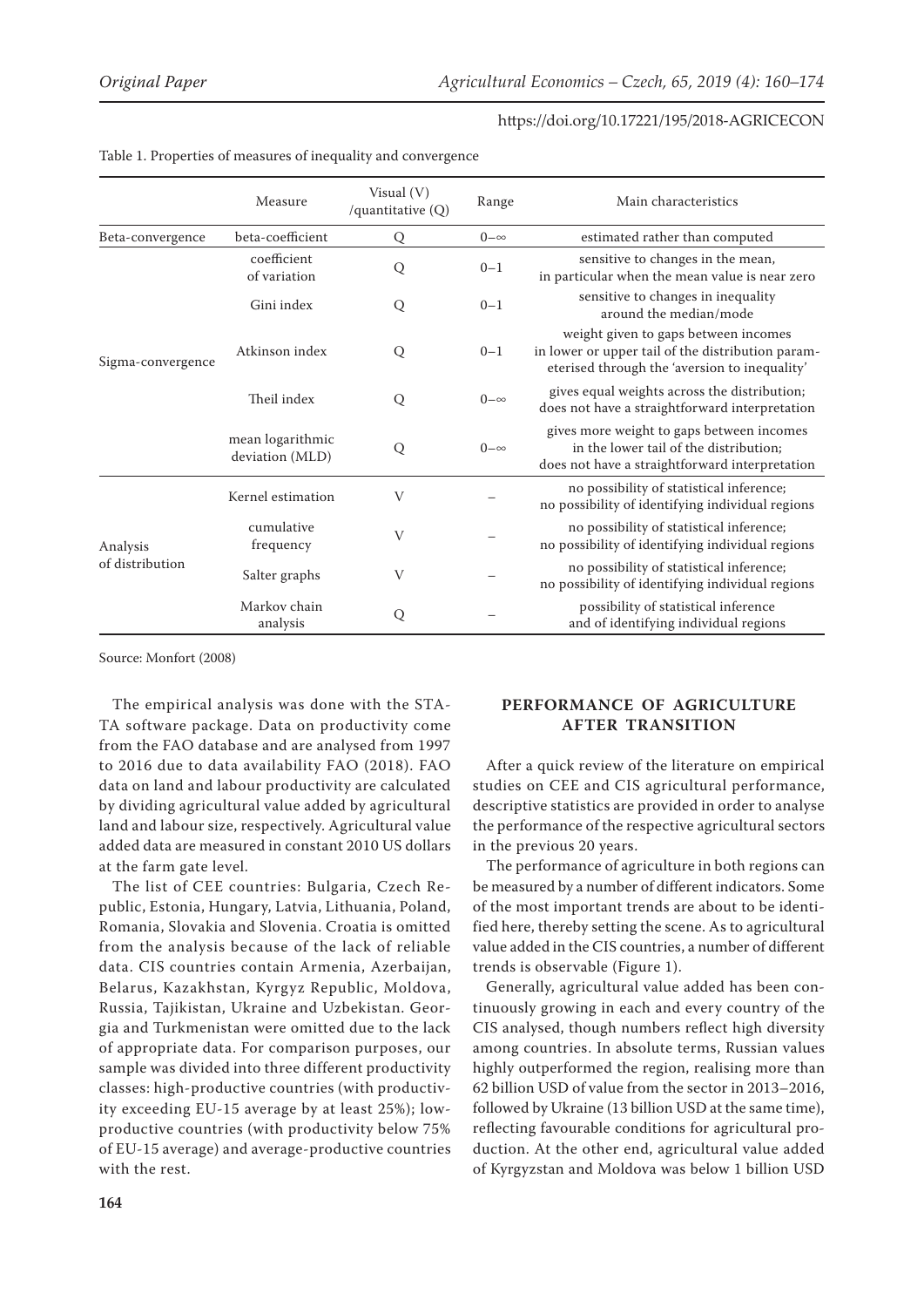|                             |                                     | Visual $(V)$      |            |                                                                                                                                            |  |
|-----------------------------|-------------------------------------|-------------------|------------|--------------------------------------------------------------------------------------------------------------------------------------------|--|
|                             | Measure                             | /quantitative (Q) | Range      | Main characteristics                                                                                                                       |  |
| Beta-convergence            | beta-coefficient                    | Q                 | $0-\infty$ | estimated rather than computed                                                                                                             |  |
| Sigma-convergence           | coefficient<br>of variation         | Q                 | $0 - 1$    | sensitive to changes in the mean,<br>in particular when the mean value is near zero                                                        |  |
|                             | Gini index                          | Q                 | $0 - 1$    | sensitive to changes in inequality<br>around the median/mode                                                                               |  |
|                             | Atkinson index                      | Q                 | $0 - 1$    | weight given to gaps between incomes<br>in lower or upper tail of the distribution param-<br>eterised through the 'aversion to inequality' |  |
|                             | Theil index                         | Q                 | $0-\infty$ | gives equal weights across the distribution;<br>does not have a straightforward interpretation                                             |  |
|                             | mean logarithmic<br>deviation (MLD) | Q                 | $0-\infty$ | gives more weight to gaps between incomes<br>in the lower tail of the distribution;<br>does not have a straightforward interpretation      |  |
| Analysis<br>of distribution | Kernel estimation                   | V                 |            | no possibility of statistical inference;<br>no possibility of identifying individual regions                                               |  |
|                             | cumulative<br>frequency             | V                 |            | no possibility of statistical inference;<br>no possibility of identifying individual regions                                               |  |
|                             | Salter graphs                       | V                 |            | no possibility of statistical inference;<br>no possibility of identifying individual regions                                               |  |
|                             | Markov chain<br>analysis            | Q                 |            | possibility of statistical inference<br>and of identifying individual regions                                                              |  |

Table 1. Properties of measures of inequality and convergence

Source: Monfort (2008)

The empirical analysis was done with the STA-TA software package. Data on productivity come from the FAO database and are analysed from 1997 to 2016 due to data availability FAO (2018). FAO data on land and labour productivity are calculated by dividing agricultural value added by agricultural land and labour size, respectively. Agricultural value added data are measured in constant 2010 US dollars at the farm gate level.

The list of CEE countries: Bulgaria, Czech Republic, Estonia, Hungary, Latvia, Lithuania, Poland, Romania, Slovakia and Slovenia. Croatia is omitted from the analysis because of the lack of reliable data. CIS countries contain Armenia, Azerbaijan, Belarus, Kazakhstan, Kyrgyz Republic, Moldova, Russia, Tajikistan, Ukraine and Uzbekistan. Georgia and Turkmenistan were omitted due to the lack of appropriate data. For comparison purposes, our sample was divided into three different productivity classes: high-productive countries (with productivity exceeding EU-15 average by at least 25%); lowproductive countries (with productivity below 75% of EU-15 average) and average-productive countries with the rest.

# **PERFORMANCE OF AGRICULTURE AFTER TRANSITION**

After a quick review of the literature on empirical studies on CEE and CIS agricultural performance, descriptive statistics are provided in order to analyse the performance of the respective agricultural sectors in the previous 20 years.

The performance of agriculture in both regions can be measured by a number of different indicators. Some of the most important trends are about to be identified here, thereby setting the scene. As to agricultural value added in the CIS countries, a number of different trends is observable (Figure 1).

Generally, agricultural value added has been continuously growing in each and every country of the CIS analysed, though numbers reflect high diversity among countries. In absolute terms, Russian values highly outperformed the region, realising more than 62 billion USD of value from the sector in 2013–2016, followed by Ukraine (13 billion USD at the same time), reflecting favourable conditions for agricultural production. At the other end, agricultural value added of Kyrgyzstan and Moldova was below 1 billion USD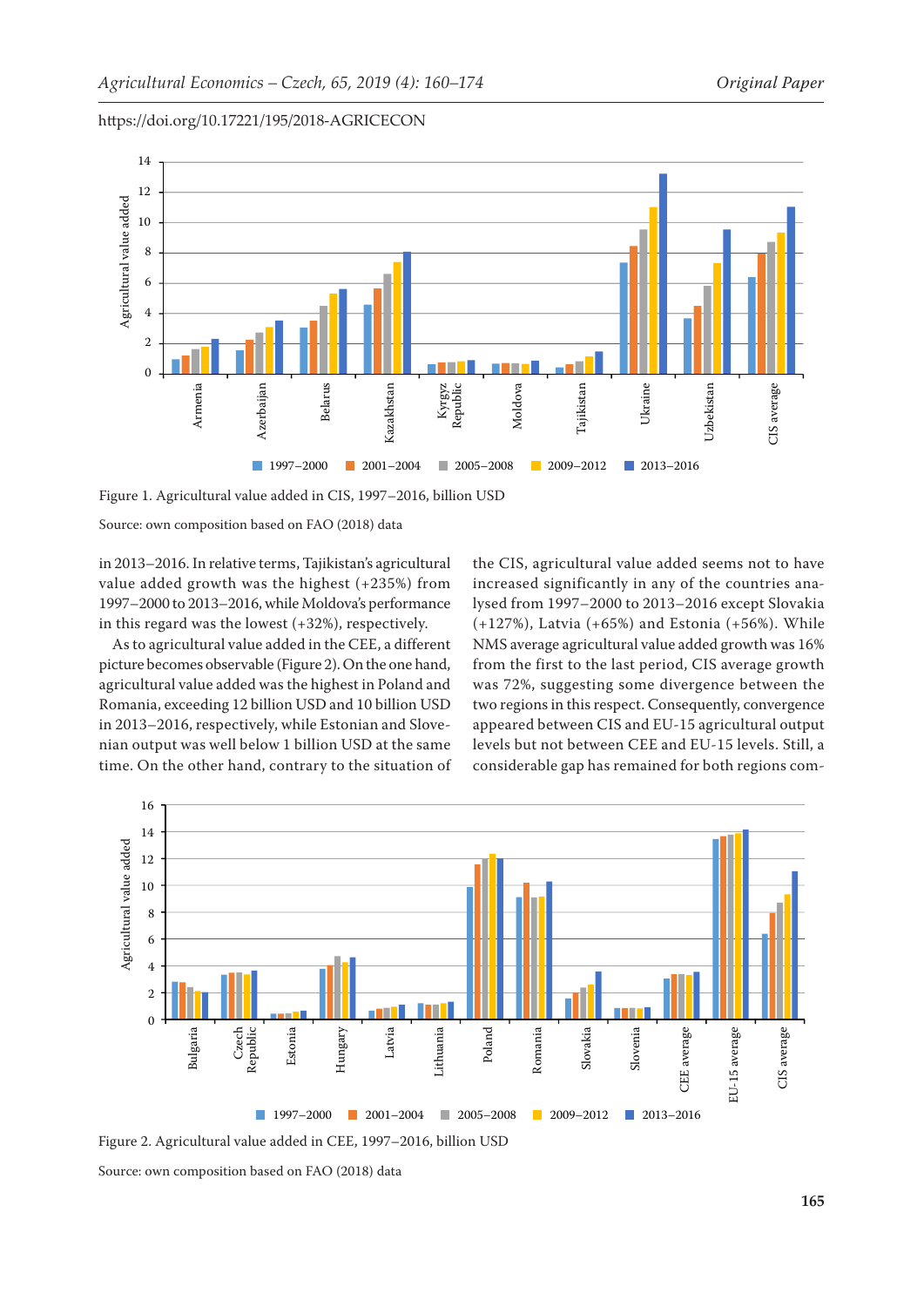



Figure 1. Agricultural value added in CIS, 1997–2016, billion USD

Source: own composition based on FAO (2018) data

in 2013–2016. In relative terms, Tajikistan's agricultural value added growth was the highest (+235%) from 1997–2000 to 2013–2016, while Moldova's performance in this regard was the lowest (+32%), respectively.

As to agricultural value added in the CEE, a different picture becomes observable (Figure 2). On the one hand, agricultural value added was the highest in Poland and Romania, exceeding 12 billion USD and 10 billion USD in 2013–2016, respectively, while Estonian and Slovenian output was well below 1 billion USD at the same time. On the other hand, contrary to the situation of the CIS, agricultural value added seems not to have increased significantly in any of the countries analysed from 1997–2000 to 2013–2016 except Slovakia (+127%), Latvia (+65%) and Estonia (+56%). While NMS average agricultural value added growth was 16% from the first to the last period, CIS average growth was 72%, suggesting some divergence between the two regions in this respect. Consequently, convergence appeared between CIS and EU-15 agricultural output levels but not between CEE and EU-15 levels. Still, a considerable gap has remained for both regions com-



Figure 2. Agricultural value added in CEE, 1997–2016, billion USD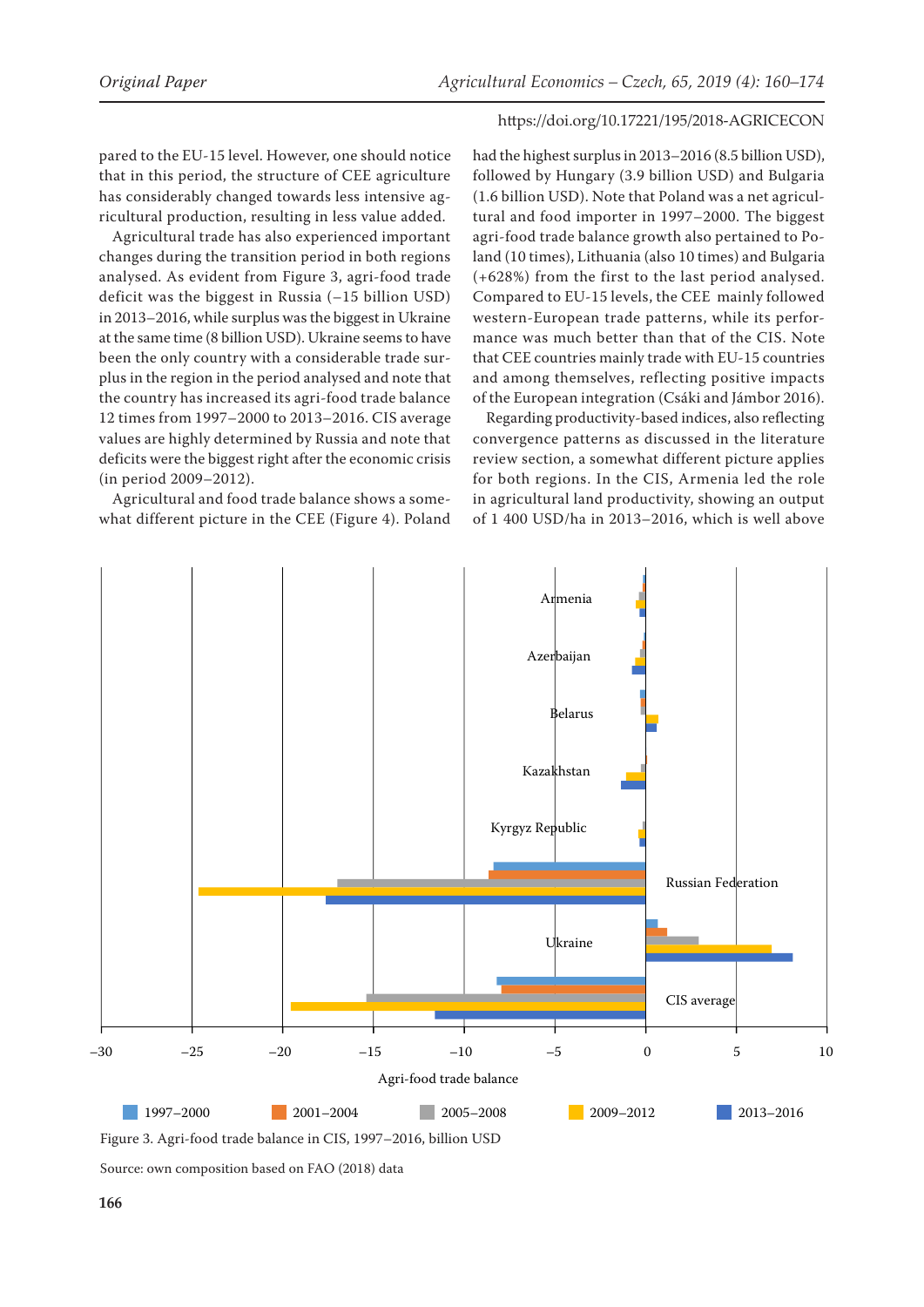pared to the EU-15 level. However, one should notice that in this period, the structure of CEE agriculture has considerably changed towards less intensive agricultural production, resulting in less value added.

Agricultural trade has also experienced important changes during the transition period in both regions analysed. As evident from Figure 3, agri-food trade deficit was the biggest in Russia (–15 billion USD) in 2013–2016, while surplus was the biggest in Ukraine at the same time (8 billion USD). Ukraine seems to have been the only country with a considerable trade surplus in the region in the period analysed and note that the country has increased its agri-food trade balance 12 times from 1997–2000 to 2013–2016. CIS average values are highly determined by Russia and note that deficits were the biggest right after the economic crisis (in period 2009–2012).

Agricultural and food trade balance shows a somewhat different picture in the CEE (Figure 4). Poland

had the highest surplus in 2013–2016 (8.5 billion USD), followed by Hungary (3.9 billion USD) and Bulgaria (1.6 billion USD). Note that Poland was a net agricultural and food importer in 1997–2000. The biggest agri-food trade balance growth also pertained to Poland (10 times), Lithuania (also 10 times) and Bulgaria (+628%) from the first to the last period analysed. Compared to EU-15 levels, the CEE mainly followed western-European trade patterns, while its performance was much better than that of the CIS. Note that CEE countries mainly trade with EU-15 countries and among themselves, reflecting positive impacts of the European integration (Csáki and Jámbor 2016).

Regarding productivity-based indices, also reflecting convergence patterns as discussed in the literature review section, a somewhat different picture applies for both regions. In the CIS, Armenia led the role in agricultural land productivity, showing an output of 1 400 USD/ha in 2013–2016, which is well above

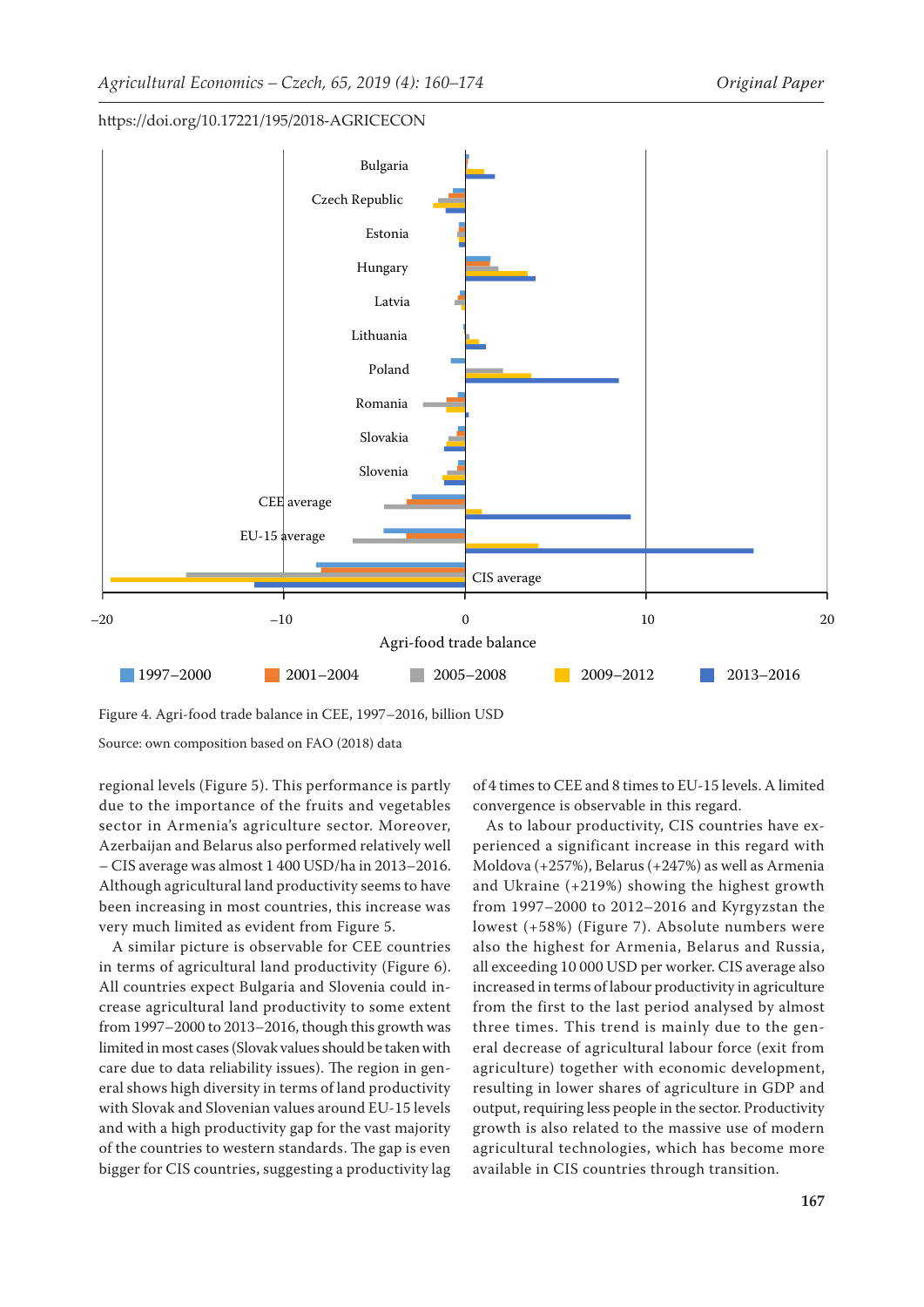

Figure 4. Agri-food trade balance in CEE, 1997–2016, billion USD

Source: own composition based on FAO (2018) data

regional levels (Figure 5). This performance is partly due to the importance of the fruits and vegetables sector in Armenia's agriculture sector. Moreover, Azerbaijan and Belarus also performed relatively well – CIS average was almost 1 400 USD/ha in 2013–2016. Although agricultural land productivity seems to have been increasing in most countries, this increase was very much limited as evident from Figure 5.

A similar picture is observable for CEE countries in terms of agricultural land productivity (Figure 6). All countries expect Bulgaria and Slovenia could increase agricultural land productivity to some extent from 1997–2000 to 2013–2016, though this growth was limited in most cases (Slovak values should be taken with care due to data reliability issues). The region in general shows high diversity in terms of land productivity with Slovak and Slovenian values around EU-15 levels and with a high productivity gap for the vast majority of the countries to western standards. The gap is even bigger for CIS countries, suggesting a productivity lag of 4 times to CEE and 8 times to EU-15 levels. A limited convergence is observable in this regard.

As to labour productivity, CIS countries have experienced a significant increase in this regard with Moldova (+257%), Belarus (+247%) as well as Armenia and Ukraine (+219%) showing the highest growth from 1997–2000 to 2012–2016 and Kyrgyzstan the lowest (+58%) (Figure 7). Absolute numbers were also the highest for Armenia, Belarus and Russia, all exceeding 10 000 USD per worker. CIS average also increased in terms of labour productivity in agriculture from the first to the last period analysed by almost three times. This trend is mainly due to the general decrease of agricultural labour force (exit from agriculture) together with economic development, resulting in lower shares of agriculture in GDP and output, requiring less people in the sector. Productivity growth is also related to the massive use of modern agricultural technologies, which has become more available in CIS countries through transition.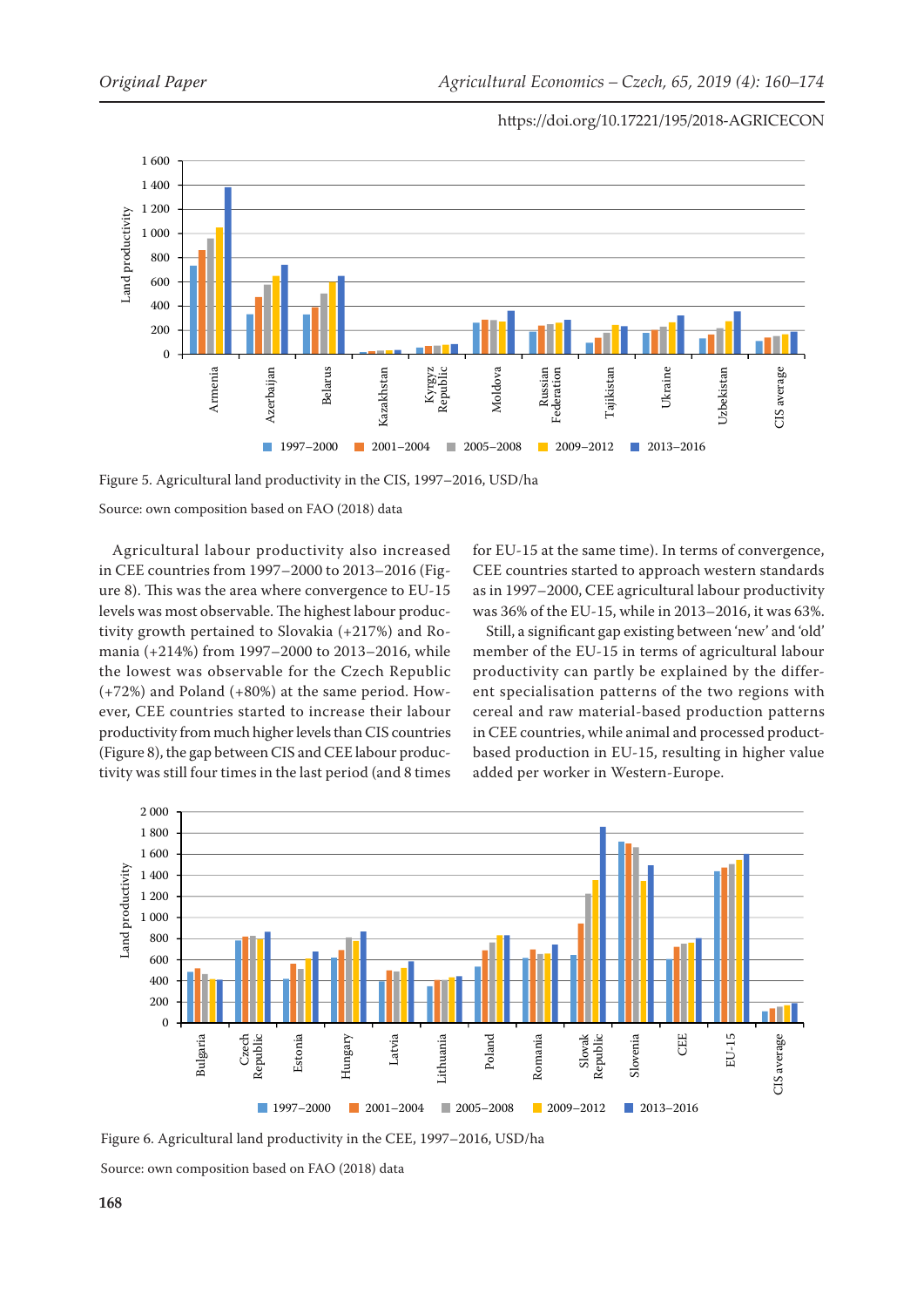

Figure 5. Agricultural land productivity in the CIS, 1997–2016, USD/ha

Source: own composition based on FAO (2018) data

Agricultural labour productivity also increased in CEE countries from 1997–2000 to 2013–2016 (Figure 8). This was the area where convergence to EU-15 levels was most observable. The highest labour productivity growth pertained to Slovakia (+217%) and Romania (+214%) from 1997–2000 to 2013–2016, while the lowest was observable for the Czech Republic (+72%) and Poland (+80%) at the same period. However, CEE countries started to increase their labour productivity from much higher levels than CIS countries (Figure 8), the gap between CIS and CEE labour productivity was still four times in the last period (and 8 times for EU-15 at the same time). In terms of convergence, CEE countries started to approach western standards as in 1997–2000, CEE agricultural labour productivity was 36% of the EU-15, while in 2013–2016, it was 63%.

Still, a significant gap existing between 'new' and 'old' member of the EU-15 in terms of agricultural labour productivity can partly be explained by the different specialisation patterns of the two regions with cereal and raw material-based production patterns in CEE countries, while animal and processed productbased production in EU-15, resulting in higher value added per worker in Western-Europe.



Figure 6. Agricultural land productivity in the CEE, 1997–2016, USD/ha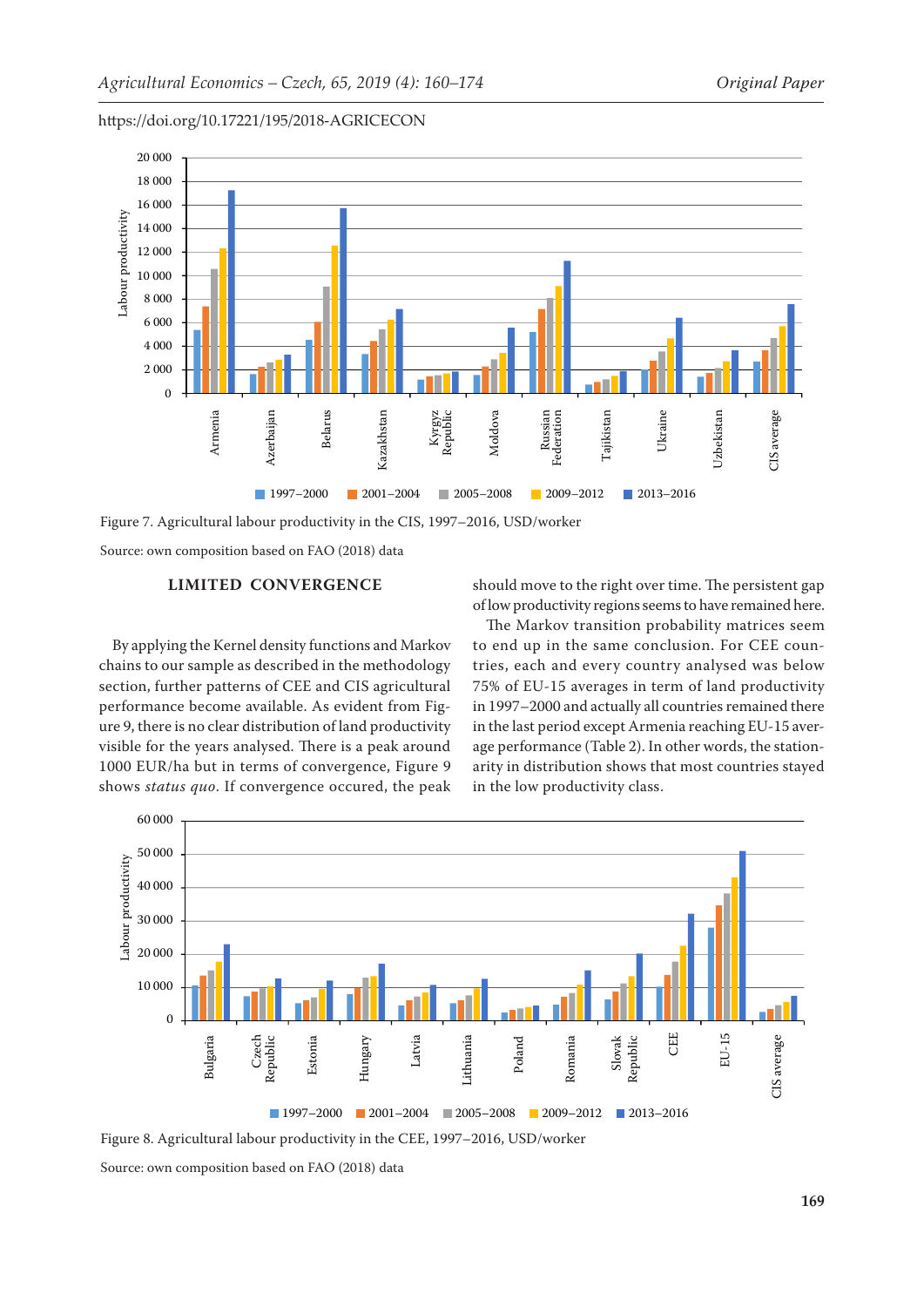



Source: own composition based on FAO (2018) data

# **LIMITED CONVERGENCE**

By applying the Kernel density functions and Markov chains to our sample as described in the methodology section, further patterns of CEE and CIS agricultural performance become available. As evident from Figure 9, there is no clear distribution of land productivity visible for the years analysed. There is a peak around 1000 EUR/ha but in terms of convergence, Figure 9 shows *status quo*. If convergence occured, the peak

should move to the right over time. The persistent gap of low productivity regions seems to have remained here.

The Markov transition probability matrices seem to end up in the same conclusion. For CEE countries, each and every country analysed was below 75% of EU-15 averages in term of land productivity in 1997–2000 and actually all countries remained there in the last period except Armenia reaching EU-15 average performance (Table 2). In other words, the stationarity in distribution shows that most countries stayed in the low productivity class.



Figure 8. Agricultural labour productivity in the CEE, 1997–2016, USD/worker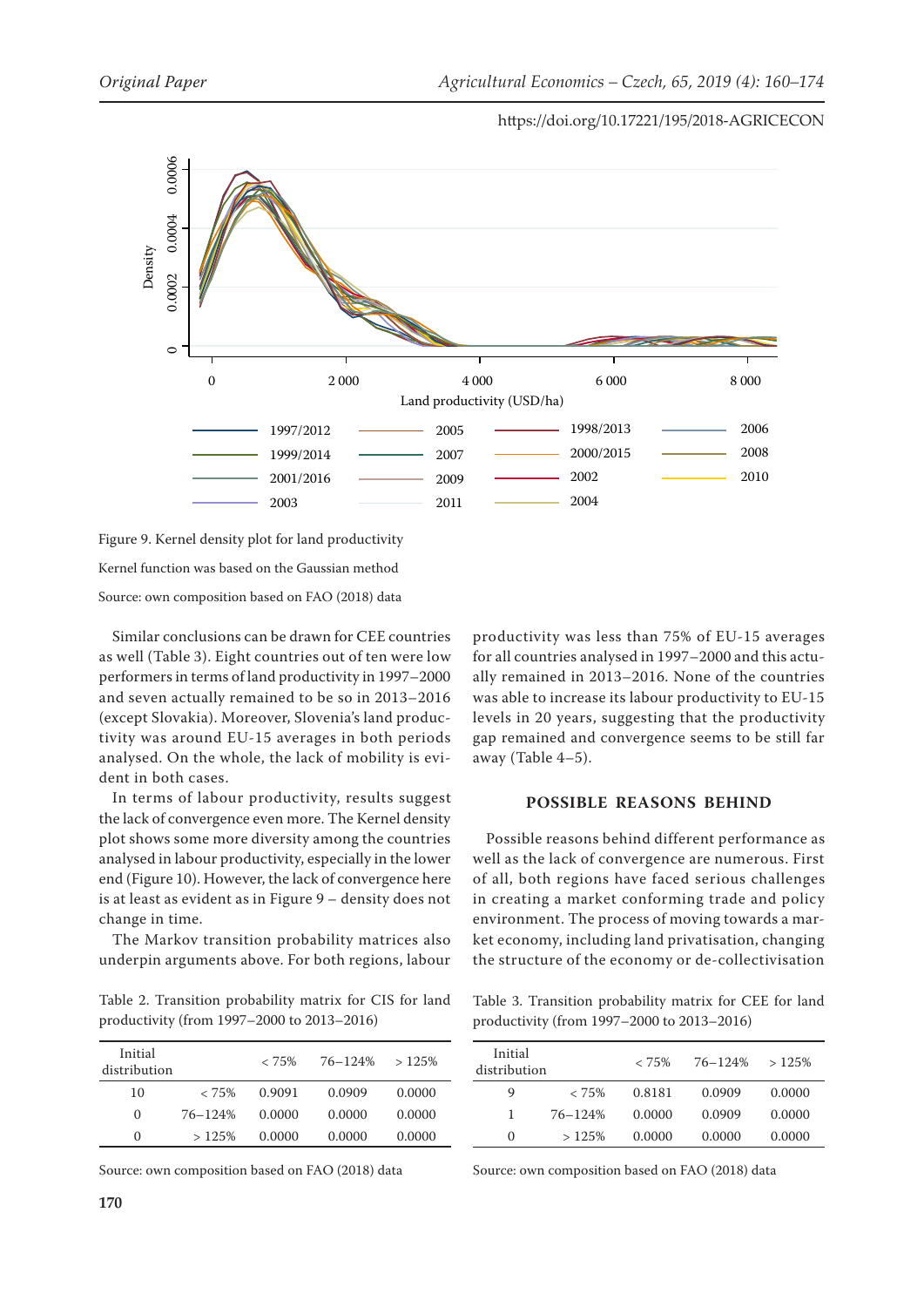

Figure 9. Kernel density plot for land productivity

Kernel function was based on the Gaussian method

Source: own composition based on FAO (2018) data

Similar conclusions can be drawn for CEE countries as well (Table 3). Eight countries out of ten were low performers in terms of land productivity in 1997–2000 and seven actually remained to be so in 2013–2016 (except Slovakia). Moreover, Slovenia's land productivity was around EU-15 averages in both periods analysed. On the whole, the lack of mobility is evident in both cases.

In terms of labour productivity, results suggest the lack of convergence even more. The Kernel density plot shows some more diversity among the countries analysed in labour productivity, especially in the lower end (Figure 10). However, the lack of convergence here is at least as evident as in Figure 9 – density does not change in time.

The Markov transition probability matrices also underpin arguments above. For both regions, labour

Table 2. Transition probability matrix for CIS for land productivity (from 1997–2000 to 2013–2016)

| Initial<br>distribution |           | $< 75\%$ | 76–124% | >125%  |
|-------------------------|-----------|----------|---------|--------|
| 10                      | $< 75\%$  | 0.9091   | 0.0909  | 0.0000 |
| $\Omega$                | 76–124%   | 0.0000   | 0.0000  | 0.0000 |
| $\Omega$                | $>12.5\%$ | 0.0000   | 0.0000  | 0.0000 |
|                         |           |          |         |        |

Source: own composition based on FAO (2018) data

productivity was less than 75% of EU-15 averages for all countries analysed in 1997–2000 and this actually remained in 2013–2016. None of the countries was able to increase its labour productivity to EU-15 levels in 20 years, suggesting that the productivity gap remained and convergence seems to be still far away (Table 4–5).

## **POSSIBLE REASONS BEHIND**

Possible reasons behind different performance as well as the lack of convergence are numerous. First of all, both regions have faced serious challenges in creating a market conforming trade and policy environment. The process of moving towards a market economy, including land privatisation, changing the structure of the economy or de-collectivisation

Table 3. Transition probability matrix for CEE for land productivity (from 1997–2000 to 2013–2016)

| Initial<br>distribution |           | $< 75\%$ | 76–124% | >125%  |
|-------------------------|-----------|----------|---------|--------|
| 9                       | $< 75\%$  | 0.8181   | 0.0909  | 0.0000 |
| 1                       | 76–124%   | 0.0000   | 0.0909  | 0.0000 |
| 0                       | $>12.5\%$ | 0.0000   | 0.0000  | 0.0000 |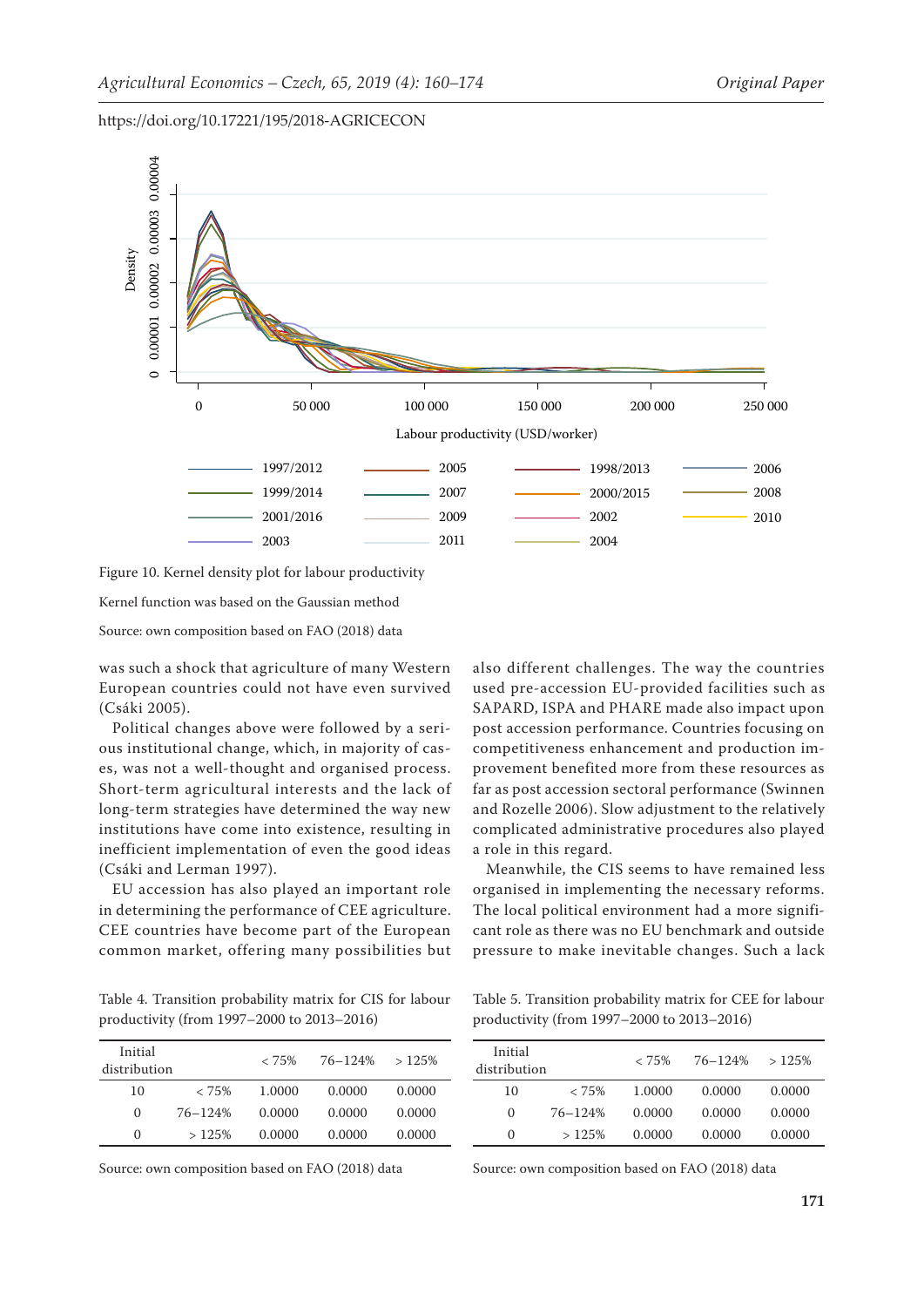

Figure 10. Kernel density plot for labour productivity

Kernel function was based on the Gaussian method

Source: own composition based on FAO (2018) data

was such a shock that agriculture of many Western European countries could not have even survived (Csáki 2005).

Political changes above were followed by a serious institutional change, which, in majority of cases, was not a well-thought and organised process. Short-term agricultural interests and the lack of long-term strategies have determined the way new institutions have come into existence, resulting in inefficient implementation of even the good ideas (Csáki and Lerman 1997).

EU accession has also played an important role in determining the performance of CEE agriculture. CEE countries have become part of the European common market, offering many possibilities but

also different challenges. The way the countries used pre-accession EU-provided facilities such as SAPARD, ISPA and PHARE made also impact upon post accession performance. Countries focusing on competitiveness enhancement and production improvement benefited more from these resources as far as post accession sectoral performance (Swinnen and Rozelle 2006). Slow adjustment to the relatively complicated administrative procedures also played a role in this regard.

Meanwhile, the CIS seems to have remained less organised in implementing the necessary reforms. The local political environment had a more significant role as there was no EU benchmark and outside pressure to make inevitable changes. Such a lack

Table 4. Transition probability matrix for CIS for labour productivity (from 1997–2000 to 2013–2016)

| Initial<br>distribution |          | $< 75\%$ | 76–124% | >125%  |
|-------------------------|----------|----------|---------|--------|
| 10                      | $< 75\%$ | 1.0000   | 0.0000  | 0.0000 |
| $\Omega$                | 76-124%  | 0.0000   | 0.0000  | 0.0000 |
| $\Omega$                | >125%    | 0.0000   | 0.0000  | 0.0000 |

Source: own composition based on FAO (2018) data

Table 5. Transition probability matrix for CEE for labour productivity (from 1997–2000 to 2013–2016)

| Initial<br>distribution |          | $< 75\%$ | 76–124% | >125%  |
|-------------------------|----------|----------|---------|--------|
| 10                      | $< 75\%$ | 1.0000   | 0.0000  | 0.0000 |
| $\Omega$                | 76-124%  | 0.0000   | 0.0000  | 0.0000 |
| $\Omega$                | >125%    | 0.0000   | 0.0000  | 0.0000 |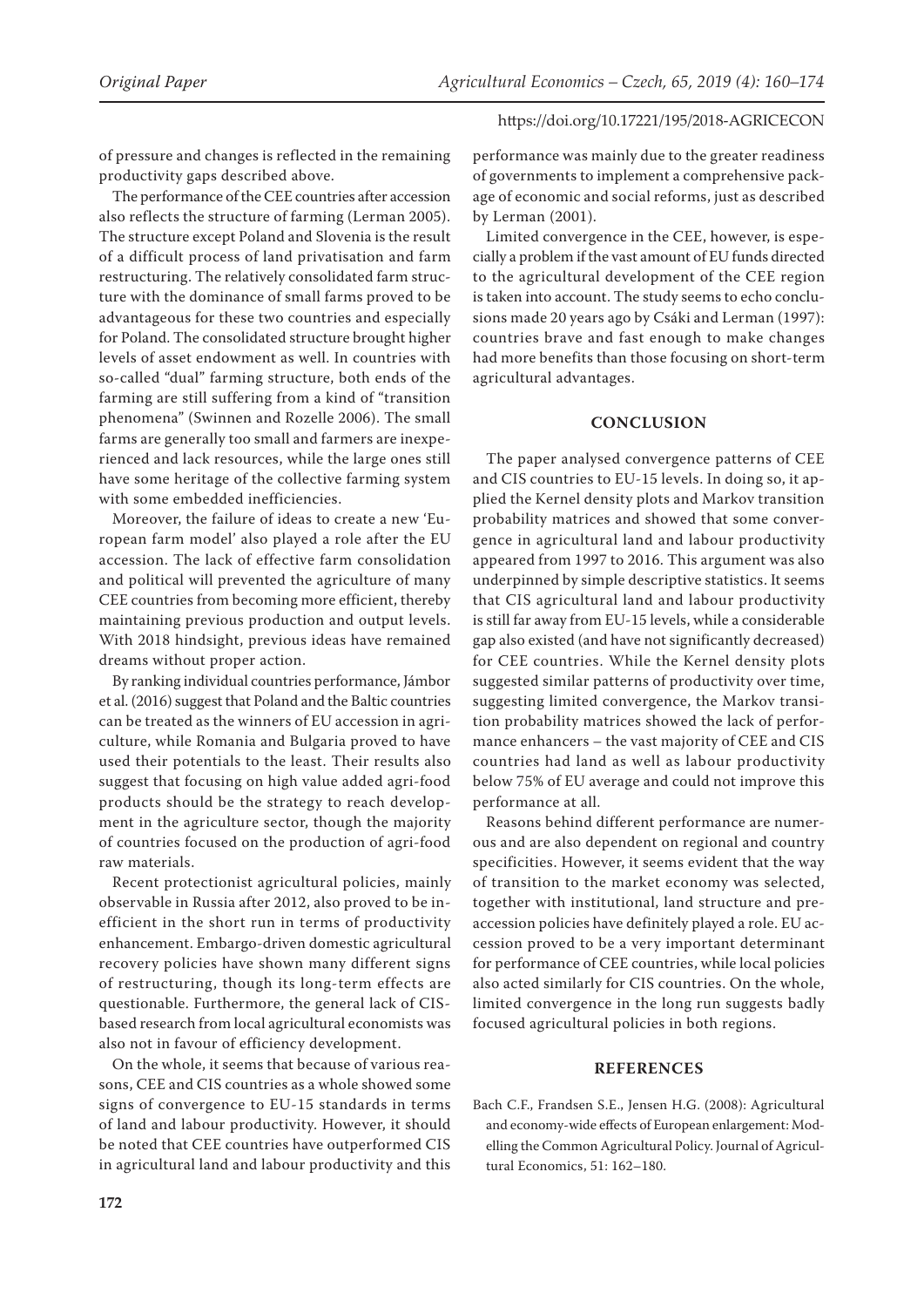of pressure and changes is reflected in the remaining productivity gaps described above.

The performance of the CEE countries after accession also reflects the structure of farming (Lerman 2005). The structure except Poland and Slovenia is the result of a difficult process of land privatisation and farm restructuring. The relatively consolidated farm structure with the dominance of small farms proved to be advantageous for these two countries and especially for Poland. The consolidated structure brought higher levels of asset endowment as well. In countries with so-called "dual" farming structure, both ends of the farming are still suffering from a kind of "transition phenomena" (Swinnen and Rozelle 2006). The small farms are generally too small and farmers are inexperienced and lack resources, while the large ones still have some heritage of the collective farming system with some embedded inefficiencies.

Moreover, the failure of ideas to create a new 'European farm model' also played a role after the EU accession. The lack of effective farm consolidation and political will prevented the agriculture of many CEE countries from becoming more efficient, thereby maintaining previous production and output levels. With 2018 hindsight, previous ideas have remained dreams without proper action.

By ranking individual countries performance, Jámbor et al. (2016) suggest that Poland and the Baltic countries can be treated as the winners of EU accession in agriculture, while Romania and Bulgaria proved to have used their potentials to the least. Their results also suggest that focusing on high value added agri-food products should be the strategy to reach development in the agriculture sector, though the majority of countries focused on the production of agri-food raw materials.

Recent protectionist agricultural policies, mainly observable in Russia after 2012, also proved to be inefficient in the short run in terms of productivity enhancement. Embargo-driven domestic agricultural recovery policies have shown many different signs of restructuring, though its long-term effects are questionable. Furthermore, the general lack of CISbased research from local agricultural economists was also not in favour of efficiency development.

On the whole, it seems that because of various reasons, CEE and CIS countries as a whole showed some signs of convergence to EU-15 standards in terms of land and labour productivity. However, it should be noted that CEE countries have outperformed CIS in agricultural land and labour productivity and this

performance was mainly due to the greater readiness of governments to implement a comprehensive package of economic and social reforms, just as described by Lerman (2001).

Limited convergence in the CEE, however, is especially a problem if the vast amount of EU funds directed to the agricultural development of the CEE region is taken into account. The study seems to echo conclusions made 20 years ago by Csáki and Lerman (1997): countries brave and fast enough to make changes had more benefits than those focusing on short-term agricultural advantages.

## **CONCLUSION**

The paper analysed convergence patterns of CEE and CIS countries to EU-15 levels. In doing so, it applied the Kernel density plots and Markov transition probability matrices and showed that some convergence in agricultural land and labour productivity appeared from 1997 to 2016. This argument was also underpinned by simple descriptive statistics. It seems that CIS agricultural land and labour productivity is still far away from EU-15 levels, while a considerable gap also existed (and have not significantly decreased) for CEE countries. While the Kernel density plots suggested similar patterns of productivity over time, suggesting limited convergence, the Markov transition probability matrices showed the lack of performance enhancers – the vast majority of CEE and CIS countries had land as well as labour productivity below 75% of EU average and could not improve this performance at all.

Reasons behind different performance are numerous and are also dependent on regional and country specificities. However, it seems evident that the way of transition to the market economy was selected, together with institutional, land structure and preaccession policies have definitely played a role. EU accession proved to be a very important determinant for performance of CEE countries, while local policies also acted similarly for CIS countries. On the whole, limited convergence in the long run suggests badly focused agricultural policies in both regions.

### **REFERENCES**

Bach C.F., Frandsen S.E., Jensen H.G. (2008): Agricultural and economy-wide effects of European enlargement: Modelling the Common Agricultural Policy. Journal of Agricultural Economics, 51: 162–180.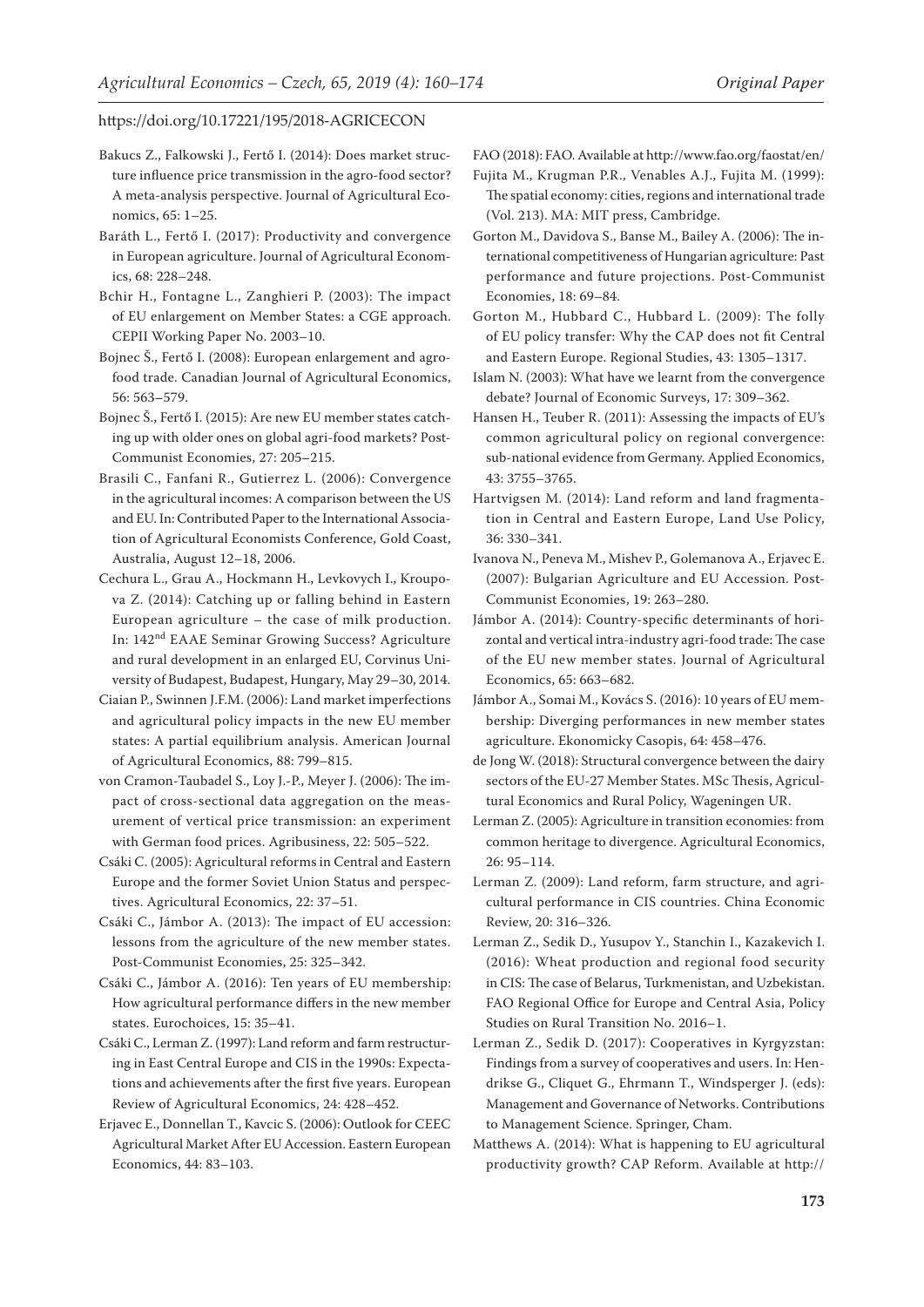- Bakucs Z., Falkowski J., Fertő I. (2014): Does market structure influence price transmission in the agro-food sector? A meta-analysis perspective. Journal of Agricultural Economics, 65: 1–25.
- Baráth L., Fertő I. (2017): Productivity and convergence in European agriculture. Journal of Agricultural Economics, 68: 228–248.
- Bchir H., Fontagne L., Zanghieri P. (2003): The impact of EU enlargement on Member States: a CGE approach. CEPII Working Paper No. 2003–10.
- Bojnec Š., Fertő I. (2008): European enlargement and agrofood trade. Canadian Journal of Agricultural Economics, 56: 563–579.
- Bojnec Š., Fertő I. (2015): Are new EU member states catching up with older ones on global agri-food markets? Post-Communist Economies, 27: 205–215.
- Brasili C., Fanfani R., Gutierrez L. (2006): Convergence in the agricultural incomes: A comparison between the US and EU. In: Contributed Paper to the International Association of Agricultural Economists Conference, Gold Coast, Australia, August 12–18, 2006.
- Cechura L., Grau A., Hockmann H., Levkovych I., Kroupova Z. (2014): Catching up or falling behind in Eastern European agriculture – the case of milk production. In: 142nd EAAE Seminar Growing Success? Agriculture and rural development in an enlarged EU, Corvinus University of Budapest, Budapest, Hungary, May 29–30, 2014.
- Ciaian P., Swinnen J.F.M. (2006): Land market imperfections and agricultural policy impacts in the new EU member states: A partial equilibrium analysis. American Journal of Agricultural Economics, 88: 799–815.
- von Cramon-Taubadel S., Loy J.-P., Meyer J. (2006): The impact of cross-sectional data aggregation on the measurement of vertical price transmission: an experiment with German food prices. Agribusiness, 22: 505–522.
- Csáki C. (2005): Agricultural reforms in Central and Eastern Europe and the former Soviet Union Status and perspectives. Agricultural Economics, 22: 37–51.
- Csáki C., Jámbor A. (2013): The impact of EU accession: lessons from the agriculture of the new member states. Post-Communist Economies, 25: 325–342.
- Csáki C., Jámbor A. (2016): Ten years of EU membership: How agricultural performance differs in the new member states. Eurochoices, 15: 35–41.
- Csáki C., Lerman Z. (1997): Land reform and farm restructuring in East Central Europe and CIS in the 1990s: Expectations and achievements after the first five years. European Review of Agricultural Economics, 24: 428–452.
- Erjavec E., Donnellan T., Kavcic S. (2006): Outlook for CEEC Agricultural Market After EU Accession. Eastern European Economics, 44: 83–103.

FAO (2018): FAO. Available at http://www.fao.org/faostat/en/

Fujita M., Krugman P.R., Venables A.J., Fujita M. (1999): The spatial economy: cities, regions and international trade (Vol. 213). MA: MIT press, Cambridge.

- Gorton M., Davidova S., Banse M., Bailey A. (2006): The international competitiveness of Hungarian agriculture: Past performance and future projections. Post-Communist Economies, 18: 69–84.
- Gorton M., Hubbard C., Hubbard L. (2009): The folly of EU policy transfer: Why the CAP does not fit Central and Eastern Europe. Regional Studies, 43: 1305–1317.
- Islam N. (2003): What have we learnt from the convergence debate? Journal of Economic Surveys, 17: 309–362.
- Hansen H., Teuber R. (2011): Assessing the impacts of EU's common agricultural policy on regional convergence: sub-national evidence from Germany. Applied Economics, 43: 3755–3765.
- Hartvigsen M. (2014): Land reform and land fragmentation in Central and Eastern Europe, Land Use Policy, 36: 330–341.
- Ivanova N., Peneva M., Mishev P., Golemanova A., Erjavec E. (2007): Bulgarian Agriculture and EU Accession. Post-Communist Economies, 19: 263–280.
- Jámbor A. (2014): Country-specific determinants of horizontal and vertical intra-industry agri-food trade: The case of the EU new member states. Journal of Agricultural Economics, 65: 663–682.
- Jámbor A., Somai M., Kovács S. (2016): 10 years of EU membership: Diverging performances in new member states agriculture. Ekonomicky Casopis, 64: 458–476.
- de Jong W. (2018): Structural convergence between the dairy sectors of the EU-27 Member States. MSc Thesis, Agricultural Economics and Rural Policy, Wageningen UR.
- Lerman Z. (2005): Agriculture in transition economies: from common heritage to divergence. Agricultural Economics, 26: 95–114.
- Lerman Z. (2009): Land reform, farm structure, and agricultural performance in CIS countries. China Economic Review, 20: 316–326.
- Lerman Z., Sedik D., Yusupov Y., Stanchin I., Kazakevich I. (2016): Wheat production and regional food security in CIS: The case of Belarus, Turkmenistan, and Uzbekistan. FAO Regional Office for Europe and Central Asia, Policy Studies on Rural Transition No. 2016–1.
- Lerman Z., Sedik D. (2017): Cooperatives in Kyrgyzstan: Findings from a survey of cooperatives and users. In: Hendrikse G., Cliquet G., Ehrmann T., Windsperger J. (eds): Management and Governance of Networks. Contributions to Management Science. Springer, Cham.
- Matthews A. (2014): What is happening to EU agricultural productivity growth? CAP Reform. Available at http://